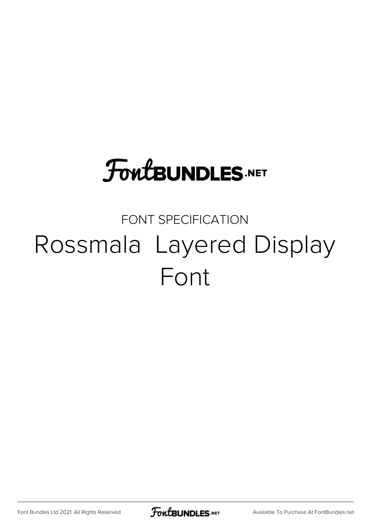# **FoutBUNDLES.NET**

### FONT SPECIFICATION Rossmala Layered Display Font

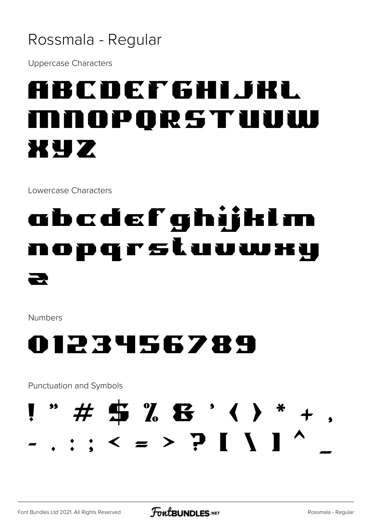#### Rossmala - Regular

**Uppercase Characters** 

### ABCDEFGHIJKL mnoporstuuw XYZ

Lowercase Characters

### abcdefghijklm nopgrstuvwxy  $\Rightarrow$

**Numbers** 



Punctuation and Symbols

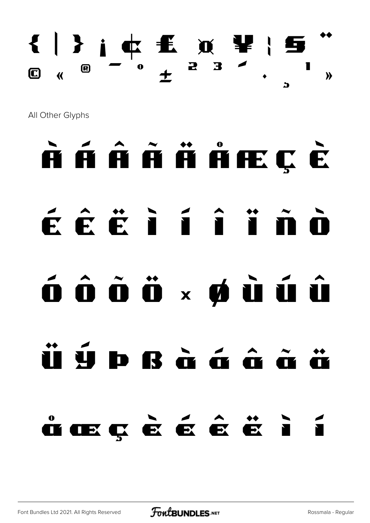# { | } ¡ ¢ £ ¤ ¥ ¦ § ¨ © « ® ¯ ° ± ² ³ ´ · ¸ ¹ »

All Other Glyphs

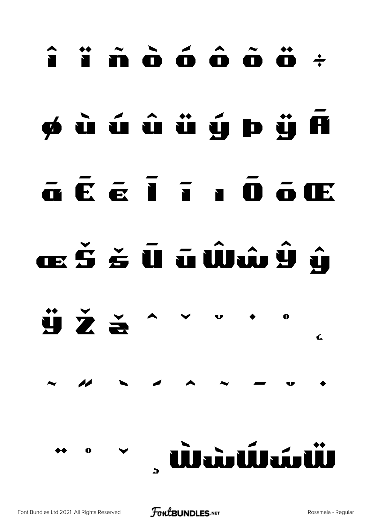# î ï ñ ò ó ô õ ö ÷

# ø ù ú û ü ý þ ÿ Ā

# $\tilde{\mathbf{a}}$   $\tilde{\mathbf{E}}$   $\tilde{\mathbf{a}}$   $\tilde{\mathbf{I}}$   $\tilde{\mathbf{a}}$   $\tilde{\mathbf{0}}$   $\tilde{\mathbf{0}}$   $\tilde{\mathbf{E}}$

# œ Š š Ū ū Ŵŵ Ŷ ŷ





# ̧ ẀẁẂẃẄ

 $\ddot{\mathbf{v}}$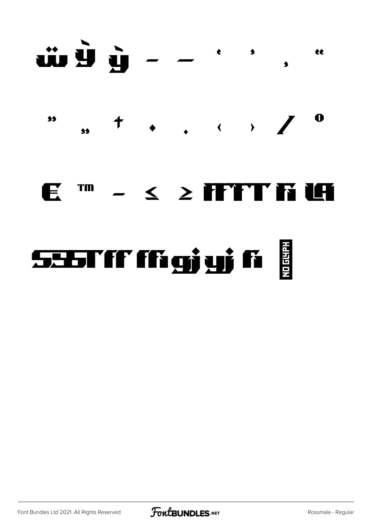

#### <u>प्राचानाः</u><br>सम्बद्धाः **SSOTIF ffigjyj fi**

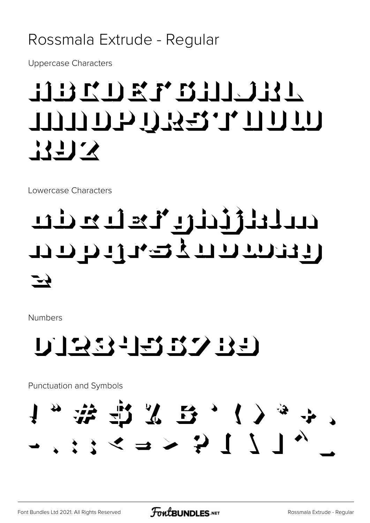#### Rossmala Extrude - Regular

**Uppercase Characters** 

# $1112772771111$ 1111111711732.7.1.1111111  $\frac{1}{2}$

Lowercase Characters

## பப் உபி உட்பிப் பேப்ப コフワ ウェブルニマアロ つつつつつ  $\rightarrow$

**Numbers** 



**Punctuation and Symbols**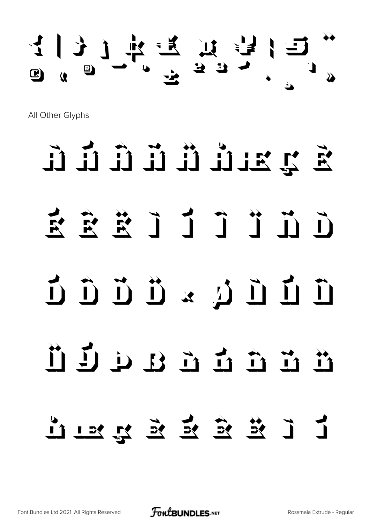${1}$   ${1}$   ${1}$   ${1}$   ${1}$   ${2}$   ${3}$   ${1}$   ${4}$   ${1}$   ${2}$   ${3}$   ${4}$ © « ® ¯ ° ± ² ³ ´ · ¸ ¹ »

All Other Glyphs

À Á Â Ã Ä Å Æ Ç È ŘŘŘJJÎ Ï Ï Ŭ Ó Ô Õ Ö × Ø Ù Ú Û  $\mathbf{j}$  j  $\mathbf{B}$   $\mathbf{B}$   $\mathbf{A}$   $\mathbf{B}$   $\mathbf{C}$   $\mathbf{C}$  if å æ ç è é ê ë ì í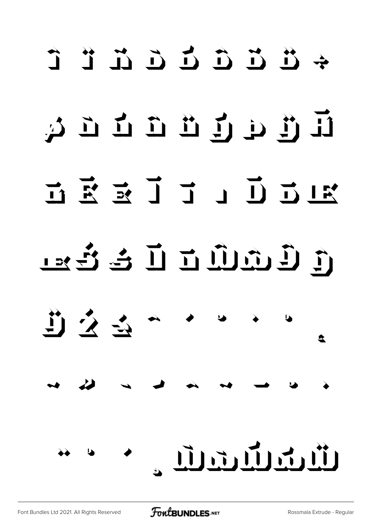# î ï ñ ò ó ô õ ö ÷  $\phi$   $\alpha$   $\alpha$   $\beta$   $\beta$   $\beta$   $\beta$   $\beta$ ā Ē ē Ī ī ı Ō ō Œ œ Š š Ū ū Ŵŵ Ŷ ŷ 当立  $\hat{\mathbf{z}}$  $\sim$   $\sim$   $\sim$   $\sim$   $\sim$   $\sim$   $\sim$  $\bullet$   $\bullet$   $\bullet$   $\bullet$ ̧ ẀẁẂẃẄ